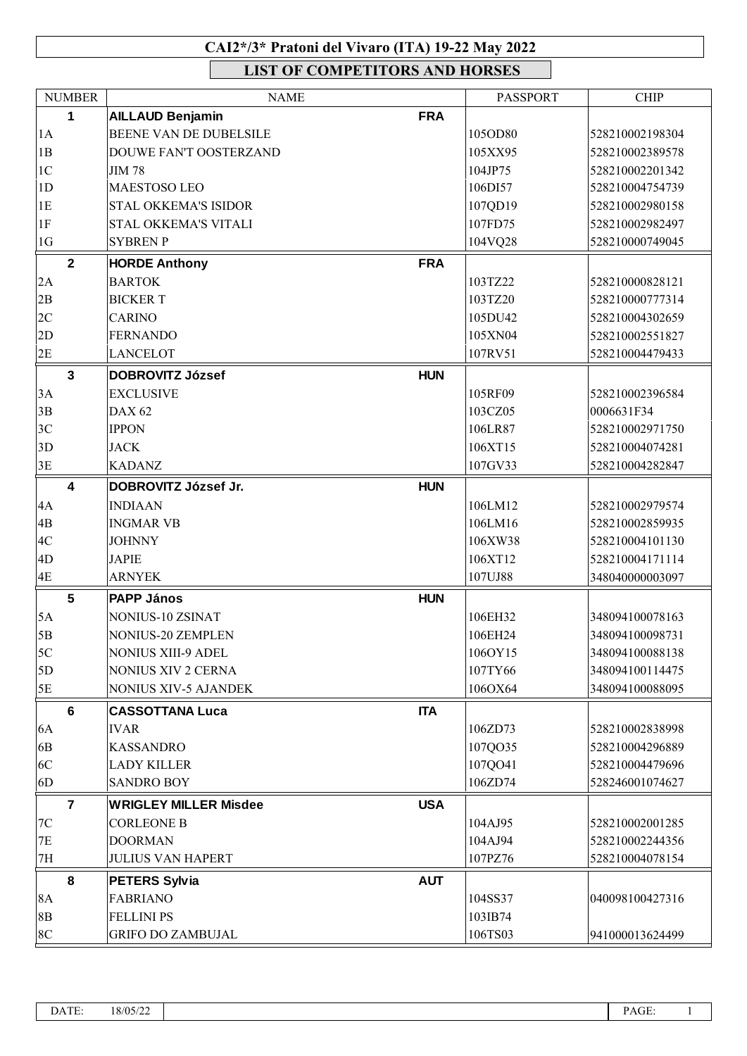## **CAI2\*/3\* Pratoni del Vivaro (ITA) 19-22 May 2022**

**LIST OF COMPETITORS AND HORSES**

| <b>NUMBER</b>           | <b>NAME</b>                  |            | <b>PASSPORT</b> | <b>CHIP</b>     |
|-------------------------|------------------------------|------------|-----------------|-----------------|
| 1                       | <b>AILLAUD Benjamin</b>      | <b>FRA</b> |                 |                 |
| 1A                      | BEENE VAN DE DUBELSILE       |            | 105OD80         | 528210002198304 |
| 1B                      | DOUWE FAN'T OOSTERZAND       |            | 105XX95         | 528210002389578 |
| $1C$                    | <b>JIM 78</b>                |            | 104JP75         | 528210002201342 |
| 1D                      | MAESTOSO LEO                 |            | 106DI57         | 528210004754739 |
| 1E                      | <b>STAL OKKEMA'S ISIDOR</b>  |            | 107QD19         | 528210002980158 |
| $1\mathrm{F}$           | STAL OKKEMA'S VITALI         |            | 107FD75         | 528210002982497 |
| 1G                      | <b>SYBREN P</b>              |            | 104VQ28         | 528210000749045 |
| $\overline{2}$          |                              |            |                 |                 |
|                         | <b>HORDE Anthony</b>         | <b>FRA</b> |                 |                 |
| 2A                      | <b>BARTOK</b>                |            | 103TZ22         | 528210000828121 |
| 2B                      | <b>BICKERT</b>               |            | 103TZ20         | 528210000777314 |
| 2C                      | <b>CARINO</b>                |            | 105DU42         | 528210004302659 |
| 2D                      | <b>FERNANDO</b>              |            | 105XN04         | 528210002551827 |
| 2E                      | <b>LANCELOT</b>              |            | 107RV51         | 528210004479433 |
| $\overline{\mathbf{3}}$ | <b>DOBROVITZ József</b>      | <b>HUN</b> |                 |                 |
| 3A                      | <b>EXCLUSIVE</b>             |            | 105RF09         | 528210002396584 |
| 3B                      | <b>DAX 62</b>                |            | 103CZ05         | 0006631F34      |
| 3C                      | <b>IPPON</b>                 |            | 106LR87         | 528210002971750 |
| 3D                      | <b>JACK</b>                  |            | 106XT15         | 528210004074281 |
| 3E                      | <b>KADANZ</b>                |            | 107GV33         | 528210004282847 |
| $\overline{\mathbf{4}}$ | DOBROVITZ József Jr.         | <b>HUN</b> |                 |                 |
| 4A                      | <b>INDIAAN</b>               |            | 106LM12         | 528210002979574 |
| $4\mathrm{B}$           | <b>INGMAR VB</b>             |            | 106LM16         | 528210002859935 |
| 4C                      | <b>JOHNNY</b>                |            | 106XW38         | 528210004101130 |
| 4D                      | <b>JAPIE</b>                 |            | 106XT12         | 528210004171114 |
| 4E                      | <b>ARNYEK</b>                |            | 107UJ88         | 348040000003097 |
| $5\phantom{1}$          |                              |            |                 |                 |
|                         | <b>PAPP János</b>            | <b>HUN</b> |                 |                 |
| 5A                      | NONIUS-10 ZSINAT             |            | 106EH32         | 348094100078163 |
| 5B                      | <b>NONIUS-20 ZEMPLEN</b>     |            | 106EH24         | 348094100098731 |
| 5C                      | <b>NONIUS XIII-9 ADEL</b>    |            | 106OY15         | 348094100088138 |
| 5D                      | NONIUS XIV 2 CERNA           |            | 107TY66         | 348094100114475 |
| 5E                      | <b>NONIUS XIV-5 AJANDEK</b>  |            | 106OX64         | 348094100088095 |
| 6                       | <b>CASSOTTANA Luca</b>       | <b>ITA</b> |                 |                 |
| 6A                      | <b>IVAR</b>                  |            | 106ZD73         | 528210002838998 |
| 6B                      | <b>KASSANDRO</b>             |            | 107QO35         | 528210004296889 |
| 6C                      | <b>LADY KILLER</b>           |            | 107QO41         | 528210004479696 |
| 6D                      | <b>SANDRO BOY</b>            |            | 106ZD74         | 528246001074627 |
| $\overline{7}$          | <b>WRIGLEY MILLER Misdee</b> | <b>USA</b> |                 |                 |
| 7C                      | <b>CORLEONE B</b>            |            | 104AJ95         | 528210002001285 |
| $7\mathrm{E}$           | <b>DOORMAN</b>               |            | 104AJ94         | 528210002244356 |
| 7H                      | <b>JULIUS VAN HAPERT</b>     |            | 107PZ76         | 528210004078154 |
| 8                       | <b>PETERS Sylvia</b>         | <b>AUT</b> |                 |                 |
| 8A                      | <b>FABRIANO</b>              |            | 104SS37         | 040098100427316 |
| 8B                      | <b>FELLINI PS</b>            |            | 103IB74         |                 |
| 8C                      | <b>GRIFO DO ZAMBUJAL</b>     |            | 106TS03         | 941000013624499 |
|                         |                              |            |                 |                 |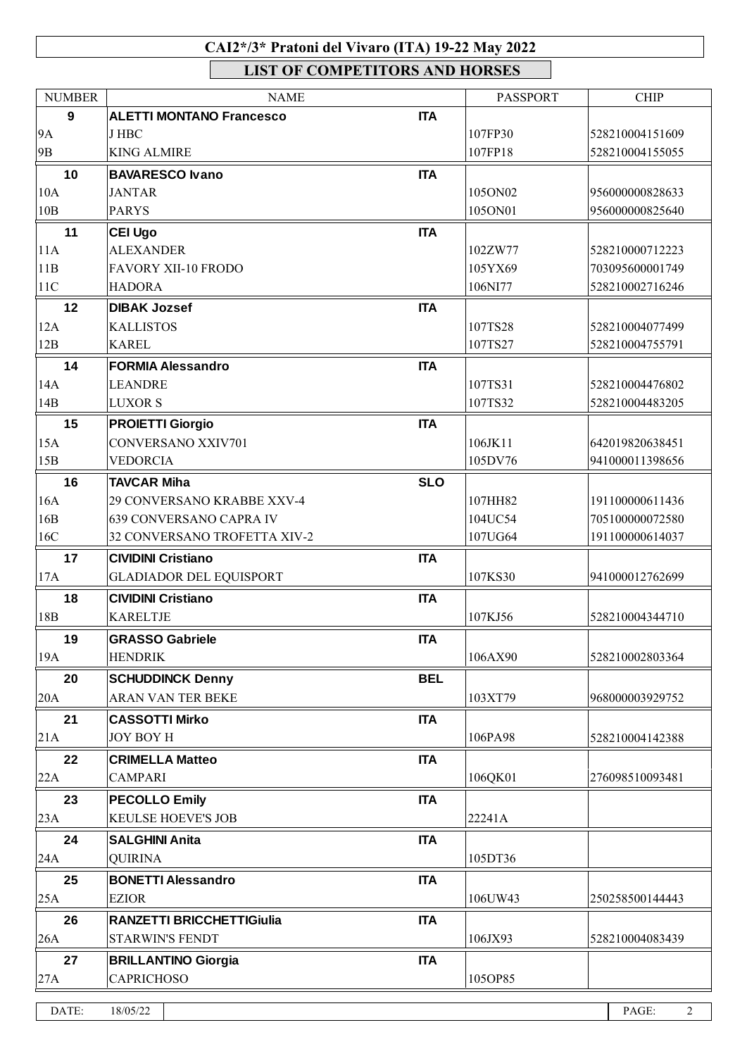## **CAI2\*/3\* Pratoni del Vivaro (ITA) 19-22 May 2022**

**LIST OF COMPETITORS AND HORSES**

| <b>NUMBER</b>   | <b>NAME</b>                                  |            | <b>PASSPORT</b>    | <b>CHIP</b>                        |
|-----------------|----------------------------------------------|------------|--------------------|------------------------------------|
| 9               | <b>ALETTI MONTANO Francesco</b>              | <b>ITA</b> |                    |                                    |
| 9A              | J HBC                                        |            | 107FP30            | 528210004151609                    |
| 9 <sub>B</sub>  | <b>KING ALMIRE</b>                           |            | 107FP18            | 528210004155055                    |
| 10              | <b>BAVARESCO Ivano</b>                       | <b>ITA</b> |                    |                                    |
| 10A             | <b>JANTAR</b>                                |            | 105ON02            | 956000000828633                    |
| 10B             | <b>PARYS</b>                                 |            | 105ON01            | 956000000825640                    |
| 11              | <b>CEI Ugo</b>                               | <b>ITA</b> |                    |                                    |
| 11A             | <b>ALEXANDER</b>                             |            | 102ZW77            | 528210000712223                    |
| 11B             | <b>FAVORY XII-10 FRODO</b>                   |            | 105YX69            | 703095600001749                    |
| 11C             | <b>HADORA</b>                                |            | 106NI77            | 528210002716246                    |
| 12              | <b>DIBAK Jozsef</b>                          | <b>ITA</b> |                    |                                    |
| 12A             | <b>KALLISTOS</b>                             |            | 107TS28            | 528210004077499                    |
| 12B             | <b>KAREL</b>                                 |            | 107TS27            | 528210004755791                    |
| 14              | <b>FORMIA Alessandro</b>                     | <b>ITA</b> |                    |                                    |
| 14A             | <b>LEANDRE</b>                               |            | 107TS31            | 528210004476802                    |
| 14B             | <b>LUXOR S</b>                               |            | 107TS32            | 528210004483205                    |
|                 |                                              |            |                    |                                    |
| 15              | <b>PROIETTI Giorgio</b>                      | <b>ITA</b> |                    |                                    |
| 15A<br>15B      | <b>CONVERSANO XXIV701</b><br><b>VEDORCIA</b> |            | 106JK11<br>105DV76 | 642019820638451<br>941000011398656 |
|                 |                                              |            |                    |                                    |
| 16              | <b>TAVCAR Miha</b>                           | <b>SLO</b> |                    |                                    |
| 16A             | 29 CONVERSANO KRABBE XXV-4                   |            | 107HH82            | 191100000611436                    |
| 16B             | 639 CONVERSANO CAPRA IV                      |            | 104UC54            | 705100000072580                    |
| 16C             | 32 CONVERSANO TROFETTA XIV-2                 |            | 107UG64            | 191100000614037                    |
| 17              | <b>CIVIDINI Cristiano</b>                    | <b>ITA</b> |                    |                                    |
| 17A             | <b>GLADIADOR DEL EQUISPORT</b>               |            | 107KS30            | 941000012762699                    |
| 18              | <b>CIVIDINI Cristiano</b>                    | <b>ITA</b> |                    |                                    |
| 18 <sub>B</sub> | <b>KARELTJE</b>                              |            | 107KJ56            | 528210004344710                    |
| 19              | <b>GRASSO Gabriele</b>                       | <b>ITA</b> |                    |                                    |
| 19A             | <b>HENDRIK</b>                               |            | 106AX90            | 528210002803364                    |
| 20              | <b>SCHUDDINCK Denny</b>                      | <b>BEL</b> |                    |                                    |
| 20A             | ARAN VAN TER BEKE                            |            | 103XT79            | 968000003929752                    |
| 21              | <b>CASSOTTI Mirko</b>                        | <b>ITA</b> |                    |                                    |
| 21A             | <b>JOY BOY H</b>                             |            | 106PA98            | 528210004142388                    |
| 22              | <b>CRIMELLA Matteo</b>                       | <b>ITA</b> |                    |                                    |
| 22A             | <b>CAMPARI</b>                               |            | 106QK01            | 276098510093481                    |
|                 |                                              |            |                    |                                    |
| 23              | <b>PECOLLO Emily</b>                         | <b>ITA</b> |                    |                                    |
| 23A             | KEULSE HOEVE'S JOB                           |            | 22241A             |                                    |
| 24              | <b>SALGHINI Anita</b>                        | <b>ITA</b> |                    |                                    |
| 24A             | <b>QUIRINA</b>                               |            | 105DT36            |                                    |
| 25              | <b>BONETTI Alessandro</b>                    | <b>ITA</b> |                    |                                    |
| 25A             | <b>EZIOR</b>                                 |            | 106UW43            | 250258500144443                    |
| 26              | <b>RANZETTI BRICCHETTIGiulia</b>             | <b>ITA</b> |                    |                                    |
| 26A             | <b>STARWIN'S FENDT</b>                       |            | 106JX93            | 528210004083439                    |
| 27              | <b>BRILLANTINO Giorgia</b>                   | <b>ITA</b> |                    |                                    |
| 27A             | <b>CAPRICHOSO</b>                            |            | 105OP85            |                                    |
|                 |                                              |            |                    |                                    |
| DATE:           | 18/05/22                                     |            |                    | PAGE:<br>$\overline{2}$            |